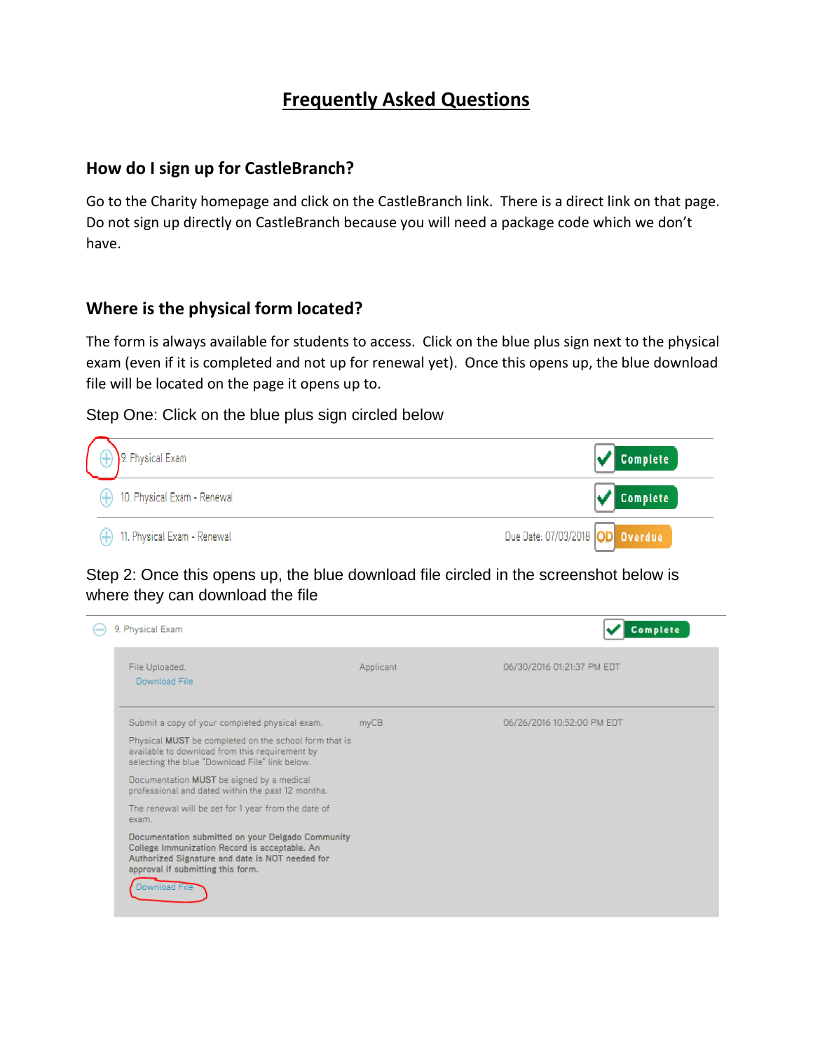# **Frequently Asked Questions**

#### **How do I sign up for CastleBranch?**

Go to the Charity homepage and click on the CastleBranch link. There is a direct link on that page. Do not sign up directly on CastleBranch because you will need a package code which we don't have.

#### **Where is the physical form located?**

The form is always available for students to access. Click on the blue plus sign next to the physical exam (even if it is completed and not up for renewal yet). Once this opens up, the blue download file will be located on the page it opens up to.

Step One: Click on the blue plus sign circled below



Step 2: Once this opens up, the blue download file circled in the screenshot below is where they can download the file

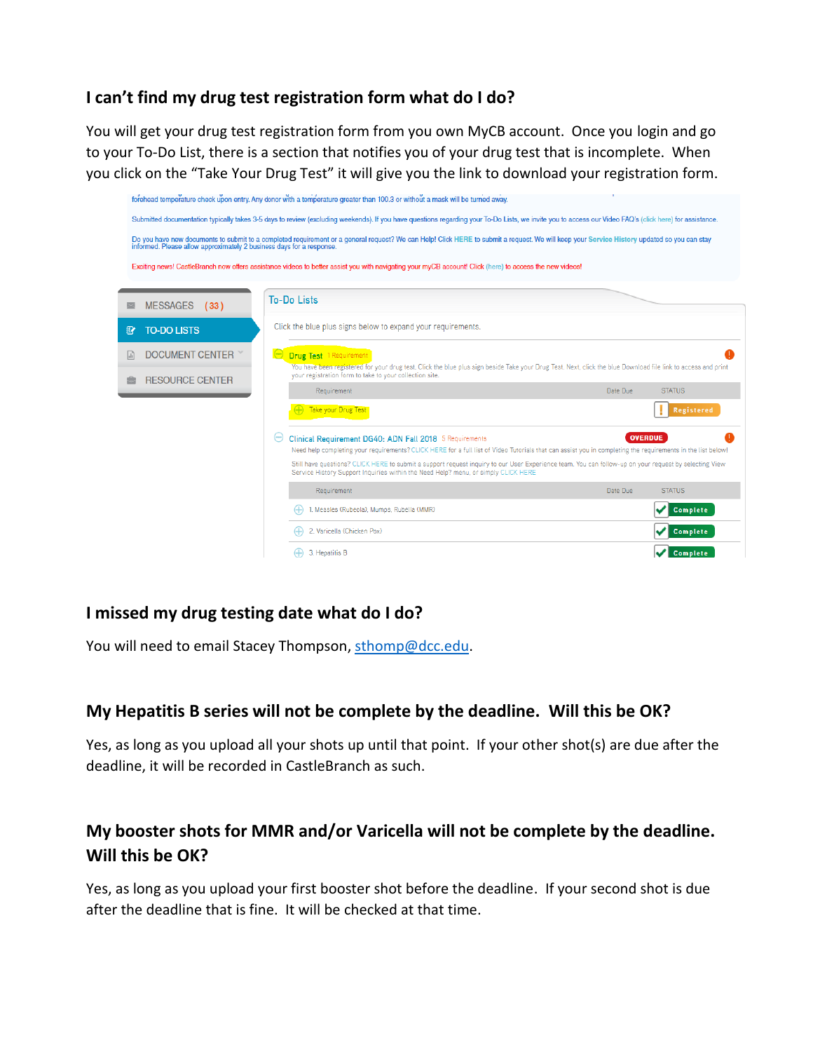### **I can't find my drug test registration form what do I do?**

You will get your drug test registration form from you own MyCB account. Once you login and go to your To-Do List, there is a section that notifies you of your drug test that is incomplete. When you click on the "Take Your Drug Test" it will give you the link to download your registration form.

|                                                                      | forehead temperature check upon entry. Any donor with a temperature greater than 100.3 or without a mask will be turned away.                                                                                                               |                           |
|----------------------------------------------------------------------|---------------------------------------------------------------------------------------------------------------------------------------------------------------------------------------------------------------------------------------------|---------------------------|
|                                                                      | Submitted documentation typically takes 3-5 days to review (excluding weekends). If you have questions regarding your To-Do Lists, we invite you to access our Video FAQ's (click here) for assistance.                                     |                           |
| informed. Please allow approximately 2 business days for a response. | Do you have new documents to submit to a completed requirement or a general request? We can Help! Click HERE to submit a request. We will keep your Service History updated so you can stay                                                 |                           |
|                                                                      | Exciting news! CastleBranch now offers assistance videos to better assist you with navigating your myCB account! Click (here) to access the new videos!                                                                                     |                           |
|                                                                      |                                                                                                                                                                                                                                             |                           |
| <b>MESSAGES</b><br>(33)                                              | <b>To-Do Lists</b>                                                                                                                                                                                                                          |                           |
| <b>TO-DO LISTS</b><br>$\mathbb{R}$                                   | Click the blue plus signs below to expand your requirements.                                                                                                                                                                                |                           |
| <b>DOCUMENT CENTER</b>                                               | <b>Drug Test</b> 1 Requirement                                                                                                                                                                                                              |                           |
| <b>RESOURCE CENTER</b>                                               | You have been registered for your drug test. Click the blue plus sign beside Take your Drug Test. Next, click the blue Download file link to access and print<br>your registration form to take to your collection site.                    |                           |
|                                                                      | Requirement                                                                                                                                                                                                                                 | <b>STATUS</b><br>Date Due |
|                                                                      | Take your Drug Test                                                                                                                                                                                                                         | Registered                |
|                                                                      | Clinical Requirement DG40: ADN Fall 2018 5 Requirements<br>Need help completing your requirements? CLICK HERE for a full list of Video Tutorials that can assist you in completing the requirements in the list below!                      | <b>OVERDUE</b>            |
|                                                                      | Still have questions? CLICK HERE to submit a support request inquiry to our User Experience team. You can follow-up on your request by selecting View<br>Service History Support Inquiries within the Need Help? menu, or simply CLICK HERE |                           |
|                                                                      | Requirement                                                                                                                                                                                                                                 | <b>STATUS</b><br>Date Due |
|                                                                      | 1. Measles (Rubeola), Mumps, Rubella (MMR)                                                                                                                                                                                                  | <b>Complete</b>           |
|                                                                      | 2. Varicella (Chicken Pox)                                                                                                                                                                                                                  | <b>Complete</b>           |
|                                                                      | 3. Hepatitis B                                                                                                                                                                                                                              | <b>Complete</b>           |

### **I missed my drug testing date what do I do?**

You will need to email Stacey Thompson, [sthomp@dcc.edu.](mailto:sthomp@dcc.edu)

### **My Hepatitis B series will not be complete by the deadline. Will this be OK?**

Yes, as long as you upload all your shots up until that point. If your other shot(s) are due after the deadline, it will be recorded in CastleBranch as such.

### **My booster shots for MMR and/or Varicella will not be complete by the deadline. Will this be OK?**

Yes, as long as you upload your first booster shot before the deadline. If your second shot is due after the deadline that is fine. It will be checked at that time.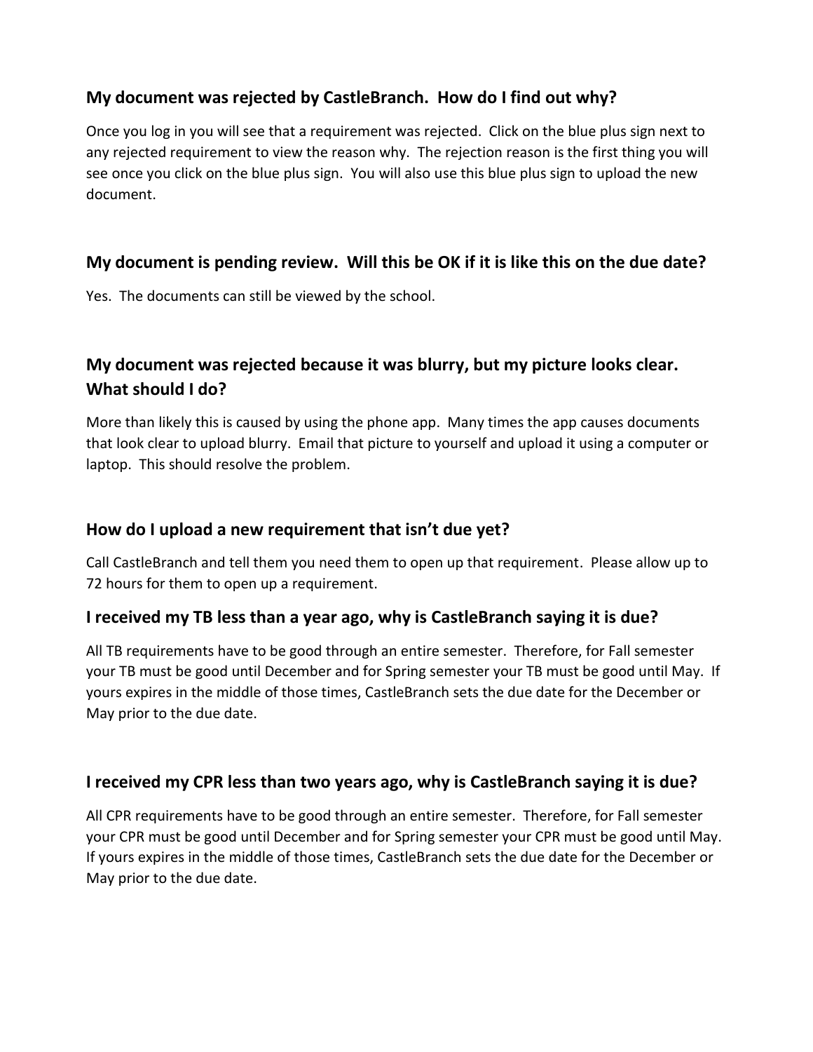### **My document was rejected by CastleBranch. How do I find out why?**

Once you log in you will see that a requirement was rejected. Click on the blue plus sign next to any rejected requirement to view the reason why. The rejection reason is the first thing you will see once you click on the blue plus sign. You will also use this blue plus sign to upload the new document.

### **My document is pending review. Will this be OK if it is like this on the due date?**

Yes. The documents can still be viewed by the school.

## **My document was rejected because it was blurry, but my picture looks clear. What should I do?**

More than likely this is caused by using the phone app. Many times the app causes documents that look clear to upload blurry. Email that picture to yourself and upload it using a computer or laptop. This should resolve the problem.

#### **How do I upload a new requirement that isn't due yet?**

Call CastleBranch and tell them you need them to open up that requirement. Please allow up to 72 hours for them to open up a requirement.

### **I received my TB less than a year ago, why is CastleBranch saying it is due?**

All TB requirements have to be good through an entire semester. Therefore, for Fall semester your TB must be good until December and for Spring semester your TB must be good until May. If yours expires in the middle of those times, CastleBranch sets the due date for the December or May prior to the due date.

### **I received my CPR less than two years ago, why is CastleBranch saying it is due?**

All CPR requirements have to be good through an entire semester. Therefore, for Fall semester your CPR must be good until December and for Spring semester your CPR must be good until May. If yours expires in the middle of those times, CastleBranch sets the due date for the December or May prior to the due date.